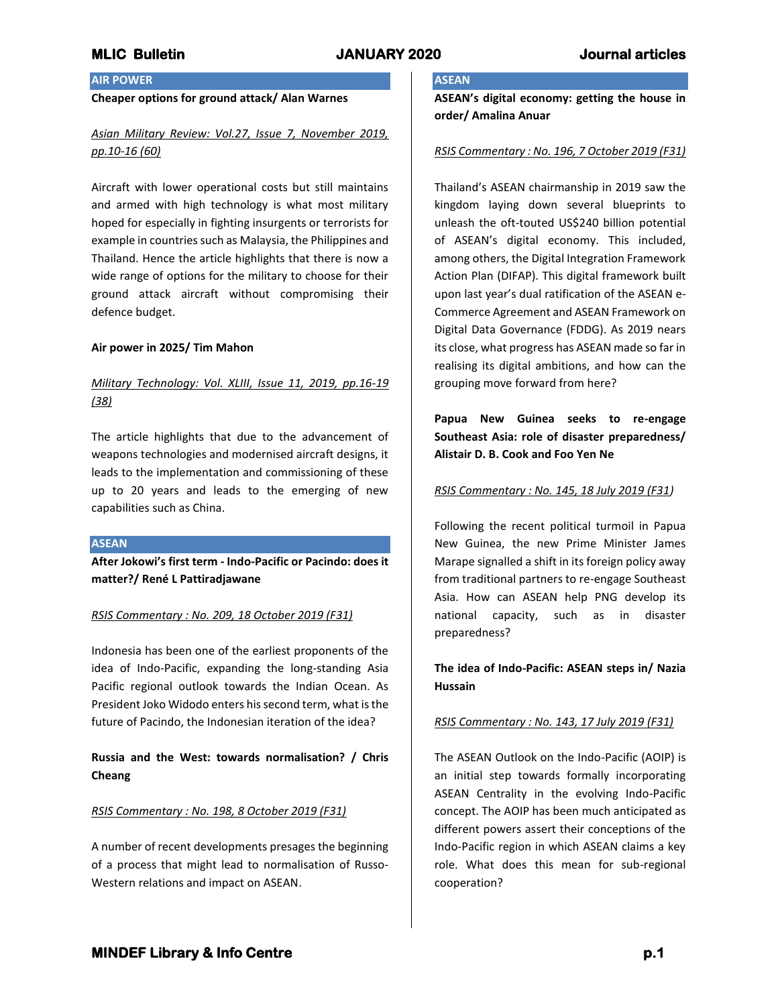## **AIR POWER**

## **Cheaper options for ground attack/ Alan Warnes**

# *Asian Military Review: Vol.27, Issue 7, November 2019, pp.10-16 (60)*

Aircraft with lower operational costs but still maintains and armed with high technology is what most military hoped for especially in fighting insurgents or terrorists for example in countries such as Malaysia, the Philippines and Thailand. Hence the article highlights that there is now a wide range of options for the military to choose for their ground attack aircraft without compromising their defence budget.

### **Air power in 2025/ Tim Mahon**

# *Military Technology: Vol. XLIII, Issue 11, 2019, pp.16-19 (38)*

The article highlights that due to the advancement of weapons technologies and modernised aircraft designs, it leads to the implementation and commissioning of these up to 20 years and leads to the emerging of new capabilities such as China.

### **ASEAN**

**After Jokowi's first term - Indo-Pacific or Pacindo: does it matter?/ René L Pattiradjawane**

## *RSIS Commentary : No. 209, 18 October 2019 (F31)*

Indonesia has been one of the earliest proponents of the idea of Indo-Pacific, expanding the long-standing Asia Pacific regional outlook towards the Indian Ocean. As President Joko Widodo enters his second term, what is the future of Pacindo, the Indonesian iteration of the idea?

**Russia and the West: towards normalisation? / Chris Cheang**

## *RSIS Commentary : No. 198, 8 October 2019 (F31)*

A number of recent developments presages the beginning of a process that might lead to normalisation of Russo-Western relations and impact on ASEAN.

# **ASEAN**

**ASEAN's digital economy: getting the house in order/ Amalina Anuar**

## *RSIS Commentary : No. 196, 7 October 2019 (F31)*

Thailand's ASEAN chairmanship in 2019 saw the kingdom laying down several blueprints to unleash the oft-touted US\$240 billion potential of ASEAN's digital economy. This included, among others, the Digital Integration Framework Action Plan (DIFAP). This digital framework built upon last year's dual ratification of the ASEAN e-Commerce Agreement and ASEAN Framework on Digital Data Governance (FDDG). As 2019 nears its close, what progress has ASEAN made so far in realising its digital ambitions, and how can the grouping move forward from here?

**Papua New Guinea seeks to re-engage Southeast Asia: role of disaster preparedness/ Alistair D. B. Cook and Foo Yen Ne**

### *RSIS Commentary : No. 145, 18 July 2019 (F31)*

Following the recent political turmoil in Papua New Guinea, the new Prime Minister James Marape signalled a shift in its foreign policy away from traditional partners to re-engage Southeast Asia. How can ASEAN help PNG develop its national capacity, such as in disaster preparedness?

## **The idea of Indo-Pacific: ASEAN steps in/ Nazia Hussain**

## *RSIS Commentary : No. 143, 17 July 2019 (F31)*

The ASEAN Outlook on the Indo-Pacific (AOIP) is an initial step towards formally incorporating ASEAN Centrality in the evolving Indo-Pacific concept. The AOIP has been much anticipated as different powers assert their conceptions of the Indo-Pacific region in which ASEAN claims a key role. What does this mean for sub-regional cooperation?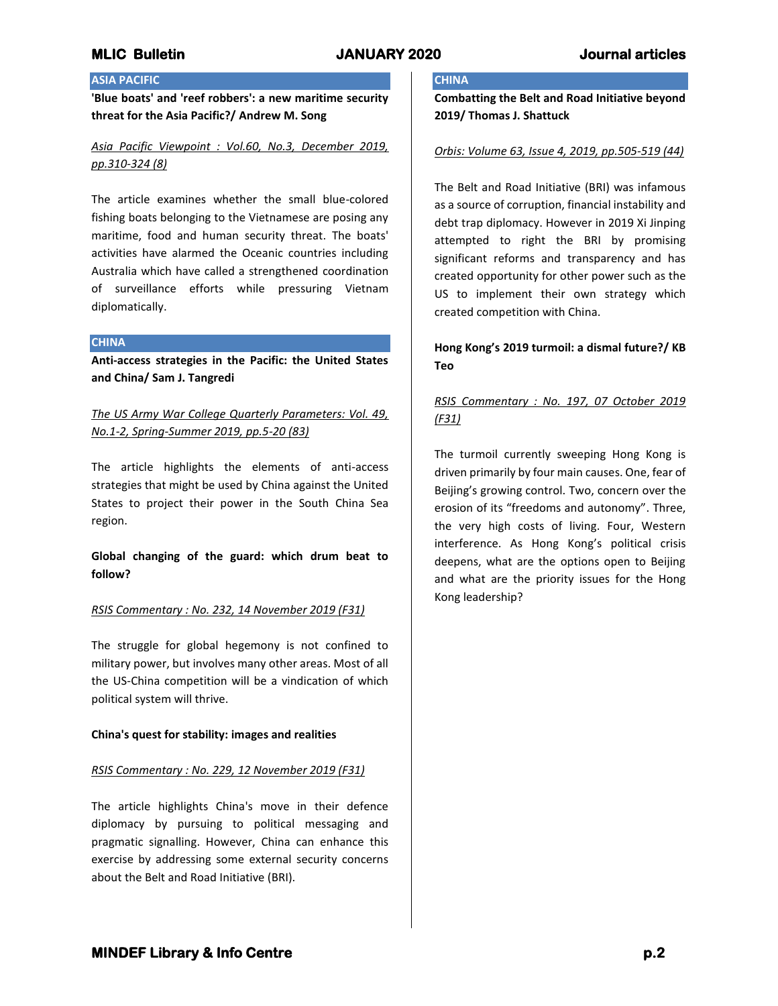# **ASIA PACIFIC**

**'Blue boats' and 'reef robbers': a new maritime security threat for the Asia Pacific?/ Andrew M. Song**

*Asia Pacific Viewpoint : Vol.60, No.3, December 2019, pp.310-324 (8)*

The article examines whether the small blue-colored fishing boats belonging to the Vietnamese are posing any maritime, food and human security threat. The boats' activities have alarmed the Oceanic countries including Australia which have called a strengthened coordination of surveillance efforts while pressuring Vietnam diplomatically.

## **CHINA**

**Anti-access strategies in the Pacific: the United States and China/ Sam J. Tangredi**

*The US Army War College Quarterly Parameters: Vol. 49, No.1-2, Spring-Summer 2019, pp.5-20 (83)*

The article highlights the elements of anti-access strategies that might be used by China against the United States to project their power in the South China Sea region.

**Global changing of the guard: which drum beat to follow?**

## *RSIS Commentary : No. 232, 14 November 2019 (F31)*

The struggle for global hegemony is not confined to military power, but involves many other areas. Most of all the US-China competition will be a vindication of which political system will thrive.

## **China's quest for stability: images and realities**

## *RSIS Commentary : No. 229, 12 November 2019 (F31)*

The article highlights China's move in their defence diplomacy by pursuing to political messaging and pragmatic signalling. However, China can enhance this exercise by addressing some external security concerns about the Belt and Road Initiative (BRI).

# **CHINA**

**Combatting the Belt and Road Initiative beyond 2019/ Thomas J. Shattuck**

## *Orbis: Volume 63, Issue 4, 2019, pp.505-519 (44)*

The Belt and Road Initiative (BRI) was infamous as a source of corruption, financial instability and debt trap diplomacy. However in 2019 Xi Jinping attempted to right the BRI by promising significant reforms and transparency and has created opportunity for other power such as the US to implement their own strategy which created competition with China.

# **Hong Kong's 2019 turmoil: a dismal future?/ KB Teo**

# *RSIS Commentary : No. 197, 07 October 2019 (F31)*

The turmoil currently sweeping Hong Kong is driven primarily by four main causes. One, fear of Beijing's growing control. Two, concern over the erosion of its "freedoms and autonomy". Three, the very high costs of living. Four, Western interference. As Hong Kong's political crisis deepens, what are the options open to Beijing and what are the priority issues for the Hong Kong leadership?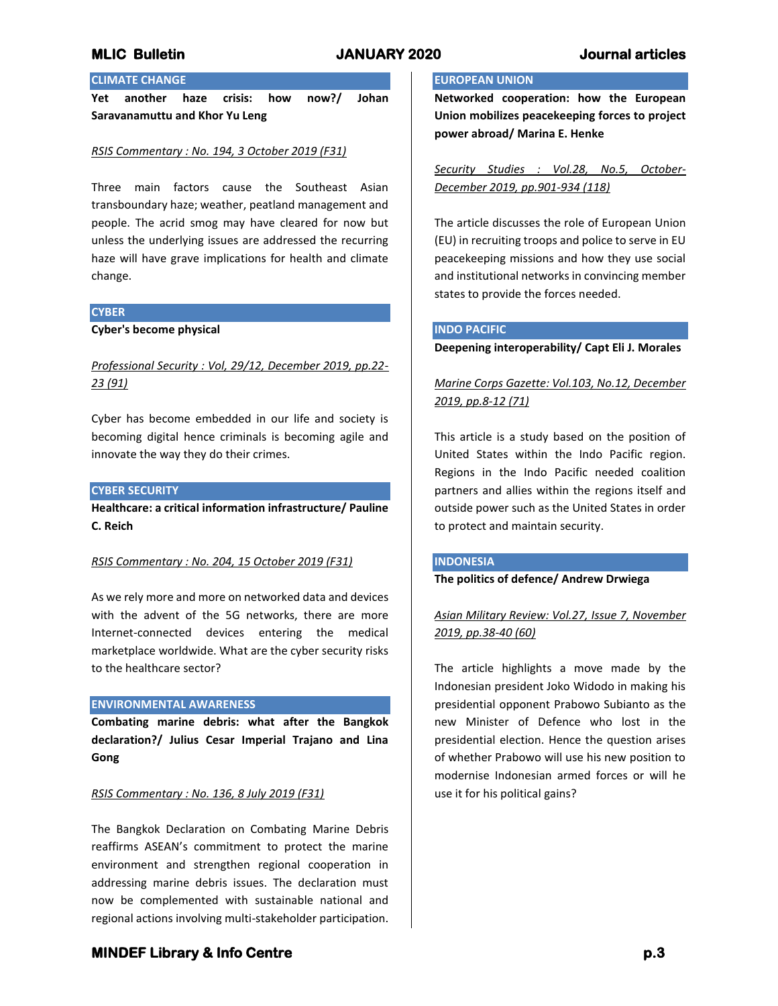## **MLIC Bulletin JANUARY 2020 Journal articles**

# **CLIMATE CHANGE**

**Yet another haze crisis: how now?/ Johan Saravanamuttu and Khor Yu Leng**

## *RSIS Commentary : No. 194, 3 October 2019 (F31)*

Three main factors cause the Southeast Asian transboundary haze; weather, peatland management and people. The acrid smog may have cleared for now but unless the underlying issues are addressed the recurring haze will have grave implications for health and climate change.

### **CYBER**

**Cyber's become physical**

# *Professional Security : Vol, 29/12, December 2019, pp.22- 23 (91)*

Cyber has become embedded in our life and society is becoming digital hence criminals is becoming agile and innovate the way they do their crimes.

## **CYBER SECURITY**

**Healthcare: a critical information infrastructure/ Pauline C. Reich**

### *RSIS Commentary : No. 204, 15 October 2019 (F31)*

As we rely more and more on networked data and devices with the advent of the 5G networks, there are more Internet-connected devices entering the medical marketplace worldwide. What are the cyber security risks to the healthcare sector?

### **ENVIRONMENTAL AWARENESS**

**Combating marine debris: what after the Bangkok declaration?/ Julius Cesar Imperial Trajano and Lina Gong**

### *RSIS Commentary : No. 136, 8 July 2019 (F31)*

The Bangkok Declaration on Combating Marine Debris reaffirms ASEAN's commitment to protect the marine environment and strengthen regional cooperation in addressing marine debris issues. The declaration must now be complemented with sustainable national and regional actions involving multi-stakeholder participation.

# **EUROPEAN UNION**

**Networked cooperation: how the European Union mobilizes peacekeeping forces to project power abroad/ Marina E. Henke**

*Security Studies : Vol.28, No.5, October-December 2019, pp.901-934 (118)*

The article discusses the role of European Union (EU) in recruiting troops and police to serve in EU peacekeeping missions and how they use social and institutional networks in convincing member states to provide the forces needed.

### **INDO PACIFIC**

### **Deepening interoperability/ Capt Eli J. Morales**

# *Marine Corps Gazette: Vol.103, No.12, December 2019, pp.8-12 (71)*

This article is a study based on the position of United States within the Indo Pacific region. Regions in the Indo Pacific needed coalition partners and allies within the regions itself and outside power such as the United States in order to protect and maintain security.

### **INDONESIA**

## **The politics of defence/ Andrew Drwiega**

*Asian Military Review: Vol.27, Issue 7, November 2019, pp.38-40 (60)*

The article highlights a move made by the Indonesian president Joko Widodo in making his presidential opponent Prabowo Subianto as the new Minister of Defence who lost in the presidential election. Hence the question arises of whether Prabowo will use his new position to modernise Indonesian armed forces or will he use it for his political gains?

## **MINDEF Library & Info Centre p.3**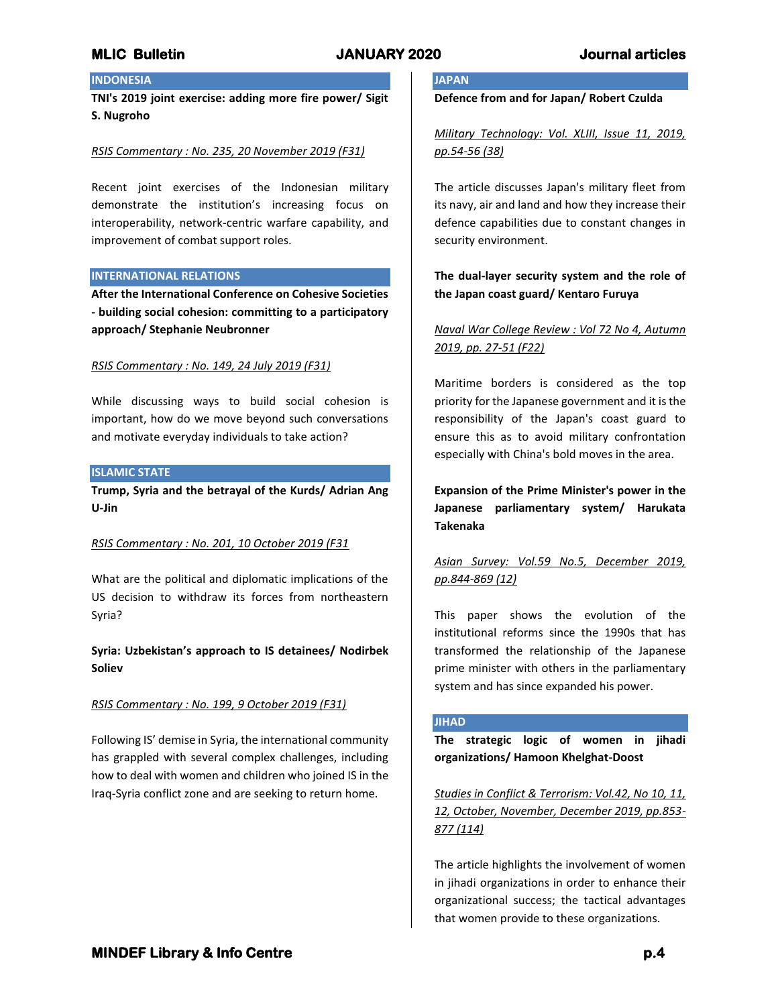# **INDONESIA**

**TNI's 2019 joint exercise: adding more fire power/ Sigit S. Nugroho**

### *RSIS Commentary : No. 235, 20 November 2019 (F31)*

Recent joint exercises of the Indonesian military demonstrate the institution's increasing focus on interoperability, network-centric warfare capability, and improvement of combat support roles.

### **INTERNATIONAL RELATIONS**

**After the International Conference on Cohesive Societies - building social cohesion: committing to a participatory approach/ Stephanie Neubronner**

### *RSIS Commentary : No. 149, 24 July 2019 (F31)*

While discussing ways to build social cohesion is important, how do we move beyond such conversations and motivate everyday individuals to take action?

### **ISLAMIC STATE**

**Trump, Syria and the betrayal of the Kurds/ Adrian Ang U-Jin**

### *RSIS Commentary : No. 201, 10 October 2019 (F31*

What are the political and diplomatic implications of the US decision to withdraw its forces from northeastern Syria?

**Syria: Uzbekistan's approach to IS detainees/ Nodirbek Soliev**

## *RSIS Commentary : No. 199, 9 October 2019 (F31)*

Following IS' demise in Syria, the international community has grappled with several complex challenges, including how to deal with women and children who joined IS in the Iraq-Syria conflict zone and are seeking to return home.

# **JAPAN**

**Defence from and for Japan/ Robert Czulda**

*Military Technology: Vol. XLIII, Issue 11, 2019, pp.54-56 (38)*

The article discusses Japan's military fleet from its navy, air and land and how they increase their defence capabilities due to constant changes in security environment.

# **The dual-layer security system and the role of the Japan coast guard/ Kentaro Furuya**

# *Naval War College Review : Vol 72 No 4, Autumn 2019, pp. 27-51 (F22)*

Maritime borders is considered as the top priority for the Japanese government and it is the responsibility of the Japan's coast guard to ensure this as to avoid military confrontation especially with China's bold moves in the area.

**Expansion of the Prime Minister's power in the Japanese parliamentary system/ Harukata Takenaka**

# *Asian Survey: Vol.59 No.5, December 2019, pp.844-869 (12)*

This paper shows the evolution of the institutional reforms since the 1990s that has transformed the relationship of the Japanese prime minister with others in the parliamentary system and has since expanded his power.

### **JIHAD**

**The strategic logic of women in jihadi organizations/ Hamoon Khelghat-Doost**

*Studies in Conflict & Terrorism: Vol.42, No 10, 11, 12, October, November, December 2019, pp.853- 877 (114)*

The article highlights the involvement of women in jihadi organizations in order to enhance their organizational success; the tactical advantages that women provide to these organizations.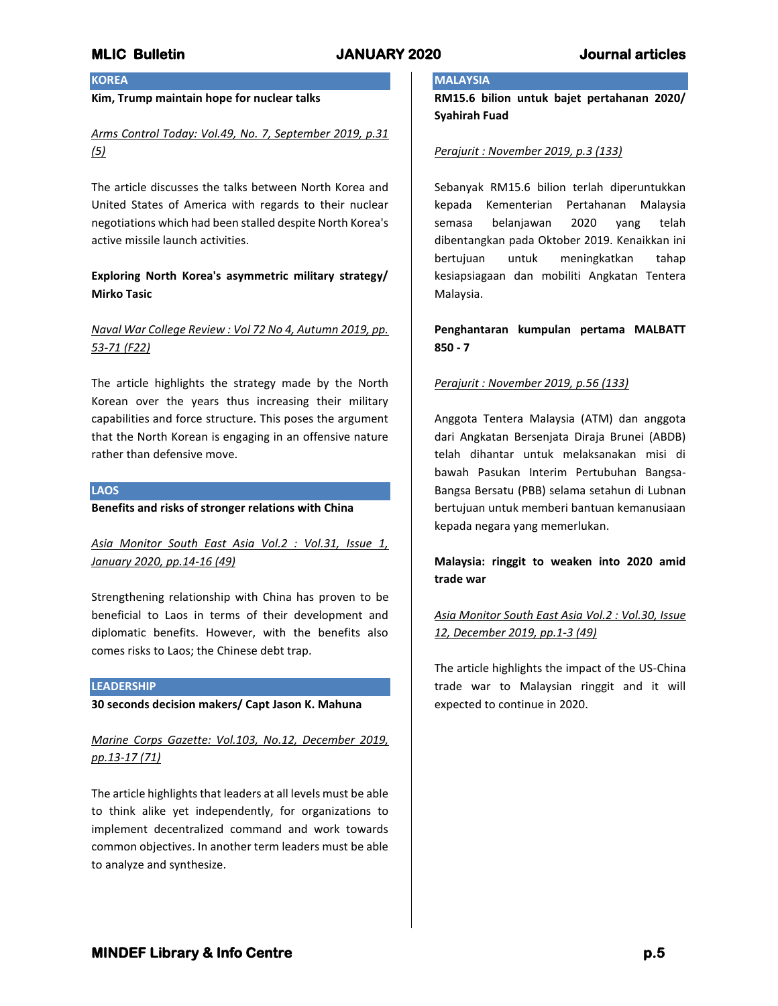## **KOREA**

## **Kim, Trump maintain hope for nuclear talks**

# *Arms Control Today: Vol.49, No. 7, September 2019, p.31 (5)*

The article discusses the talks between North Korea and United States of America with regards to their nuclear negotiations which had been stalled despite North Korea's active missile launch activities.

# **Exploring North Korea's asymmetric military strategy/ Mirko Tasic**

# *Naval War College Review : Vol 72 No 4, Autumn 2019, pp. 53-71 (F22)*

The article highlights the strategy made by the North Korean over the years thus increasing their military capabilities and force structure. This poses the argument that the North Korean is engaging in an offensive nature rather than defensive move.

## **LAOS**

**Benefits and risks of stronger relations with China**

*Asia Monitor South East Asia Vol.2 : Vol.31, Issue 1, January 2020, pp.14-16 (49)*

Strengthening relationship with China has proven to be beneficial to Laos in terms of their development and diplomatic benefits. However, with the benefits also comes risks to Laos; the Chinese debt trap.

## **LEADERSHIP**

**30 seconds decision makers/ Capt Jason K. Mahuna**

*Marine Corps Gazette: Vol.103, No.12, December 2019, pp.13-17 (71)*

The article highlights that leaders at all levels must be able to think alike yet independently, for organizations to implement decentralized command and work towards common objectives. In another term leaders must be able to analyze and synthesize.

## **MALAYSIA**

**RM15.6 bilion untuk bajet pertahanan 2020/ Syahirah Fuad**

### *Perajurit : November 2019, p.3 (133)*

Sebanyak RM15.6 bilion terlah diperuntukkan kepada Kementerian Pertahanan Malaysia semasa belanjawan 2020 yang telah dibentangkan pada Oktober 2019. Kenaikkan ini bertujuan untuk meningkatkan tahap kesiapsiagaan dan mobiliti Angkatan Tentera Malaysia.

**Penghantaran kumpulan pertama MALBATT 850 - 7**

## *Perajurit : November 2019, p.56 (133)*

Anggota Tentera Malaysia (ATM) dan anggota dari Angkatan Bersenjata Diraja Brunei (ABDB) telah dihantar untuk melaksanakan misi di bawah Pasukan Interim Pertubuhan Bangsa-Bangsa Bersatu (PBB) selama setahun di Lubnan bertujuan untuk memberi bantuan kemanusiaan kepada negara yang memerlukan.

## **Malaysia: ringgit to weaken into 2020 amid trade war**

# *Asia Monitor South East Asia Vol.2 : Vol.30, Issue 12, December 2019, pp.1-3 (49)*

The article highlights the impact of the US-China trade war to Malaysian ringgit and it will expected to continue in 2020.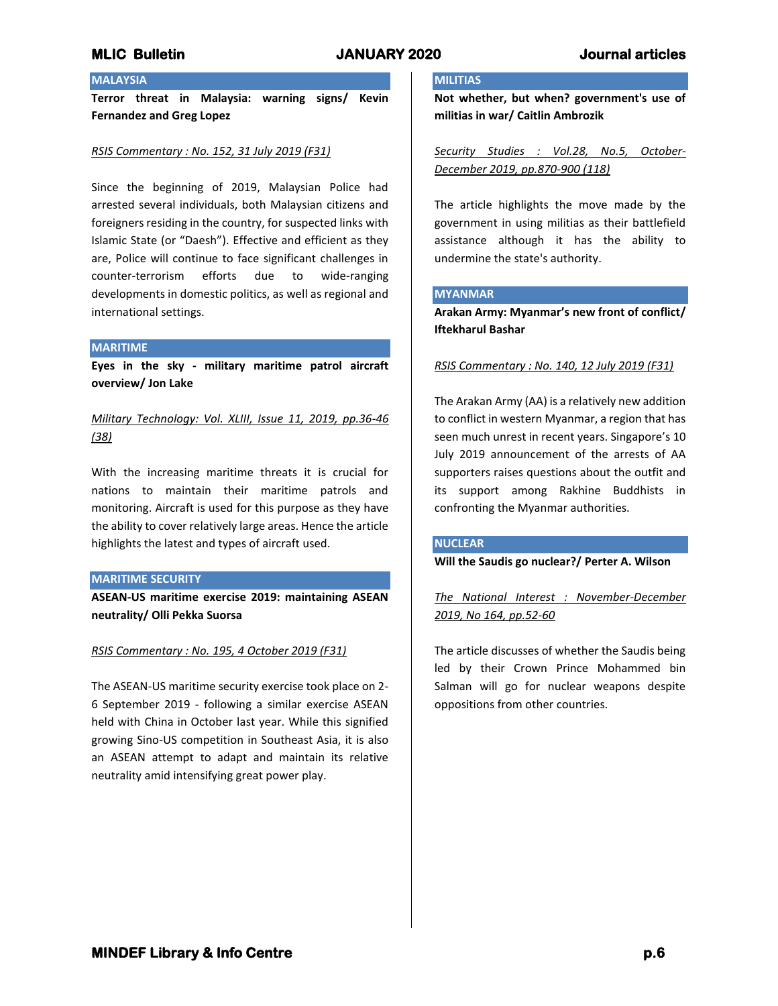# **MALAYSIA**

**Terror threat in Malaysia: warning signs/ Kevin Fernandez and Greg Lopez**

## *RSIS Commentary : No. 152, 31 July 2019 (F31)*

Since the beginning of 2019, Malaysian Police had arrested several individuals, both Malaysian citizens and foreigners residing in the country, for suspected links with Islamic State (or "Daesh"). Effective and efficient as they are, Police will continue to face significant challenges in counter-terrorism efforts due to wide-ranging developments in domestic politics, as well as regional and international settings.

### **MARITIME**

**Eyes in the sky - military maritime patrol aircraft overview/ Jon Lake**

*Military Technology: Vol. XLIII, Issue 11, 2019, pp.36-46 (38)*

With the increasing maritime threats it is crucial for nations to maintain their maritime patrols and monitoring. Aircraft is used for this purpose as they have the ability to cover relatively large areas. Hence the article highlights the latest and types of aircraft used.

### **MARITIME SECURITY**

**ASEAN-US maritime exercise 2019: maintaining ASEAN neutrality/ Olli Pekka Suorsa**

## *RSIS Commentary : No. 195, 4 October 2019 (F31)*

The ASEAN-US maritime security exercise took place on 2- 6 September 2019 - following a similar exercise ASEAN held with China in October last year. While this signified growing Sino-US competition in Southeast Asia, it is also an ASEAN attempt to adapt and maintain its relative neutrality amid intensifying great power play.

## **MILITIAS**

**Not whether, but when? government's use of militias in war/ Caitlin Ambrozik**

*Security Studies : Vol.28, No.5, October-December 2019, pp.870-900 (118)*

The article highlights the move made by the government in using militias as their battlefield assistance although it has the ability to undermine the state's authority.

### **MYANMAR**

**Arakan Army: Myanmar's new front of conflict/ Iftekharul Bashar**

*RSIS Commentary : No. 140, 12 July 2019 (F31)*

The Arakan Army (AA) is a relatively new addition to conflict in western Myanmar, a region that has seen much unrest in recent years. Singapore's 10 July 2019 announcement of the arrests of AA supporters raises questions about the outfit and its support among Rakhine Buddhists in confronting the Myanmar authorities.

## **NUCLEAR**

**Will the Saudis go nuclear?/ Perter A. Wilson**

*The National Interest : November-December 2019, No 164, pp.52-60*

The article discusses of whether the Saudis being led by their Crown Prince Mohammed bin Salman will go for nuclear weapons despite oppositions from other countries.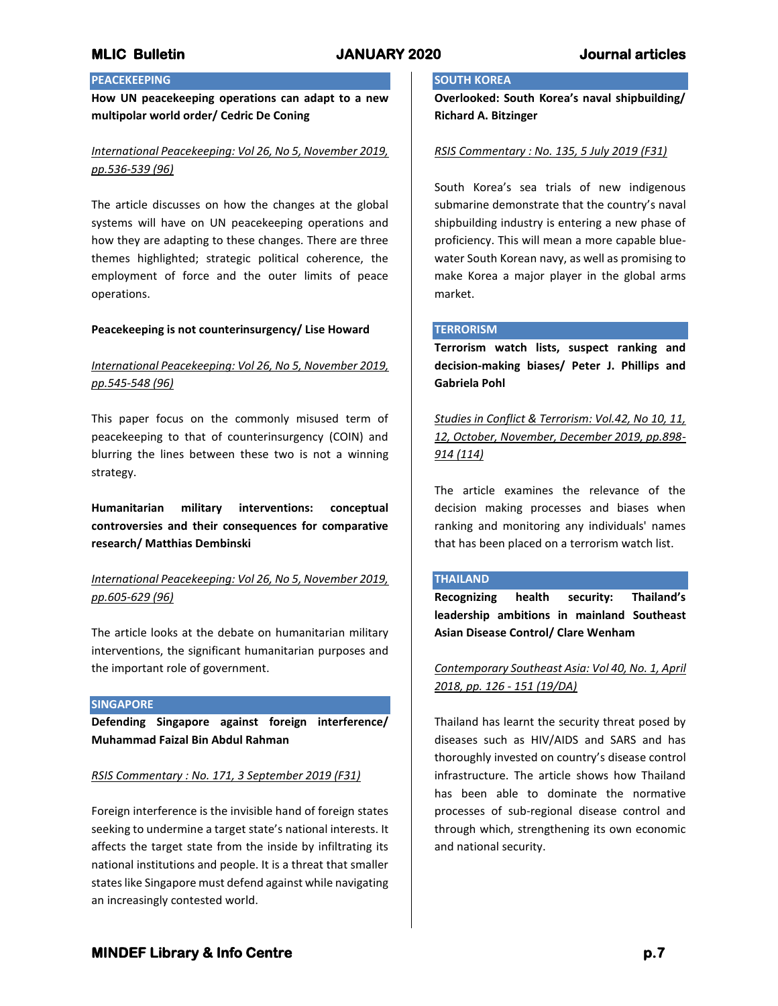# **PEACEKEEPING**

**How UN peacekeeping operations can adapt to a new multipolar world order/ Cedric De Coning**

# *International Peacekeeping: Vol 26, No 5, November 2019, pp.536-539 (96)*

The article discusses on how the changes at the global systems will have on UN peacekeeping operations and how they are adapting to these changes. There are three themes highlighted; strategic political coherence, the employment of force and the outer limits of peace operations.

## **Peacekeeping is not counterinsurgency/ Lise Howard**

# *International Peacekeeping: Vol 26, No 5, November 2019, pp.545-548 (96)*

This paper focus on the commonly misused term of peacekeeping to that of counterinsurgency (COIN) and blurring the lines between these two is not a winning strategy.

**Humanitarian military interventions: conceptual controversies and their consequences for comparative research/ Matthias Dembinski**

# *International Peacekeeping: Vol 26, No 5, November 2019, pp.605-629 (96)*

The article looks at the debate on humanitarian military interventions, the significant humanitarian purposes and the important role of government.

## **SINGAPORE**

**Defending Singapore against foreign interference/ Muhammad Faizal Bin Abdul Rahman**

## *RSIS Commentary : No. 171, 3 September 2019 (F31)*

Foreign interference is the invisible hand of foreign states seeking to undermine a target state's national interests. It affects the target state from the inside by infiltrating its national institutions and people. It is a threat that smaller states like Singapore must defend against while navigating an increasingly contested world.

## **SOUTH KOREA**

**Overlooked: South Korea's naval shipbuilding/ Richard A. Bitzinger**

## *RSIS Commentary : No. 135, 5 July 2019 (F31)*

South Korea's sea trials of new indigenous submarine demonstrate that the country's naval shipbuilding industry is entering a new phase of proficiency. This will mean a more capable bluewater South Korean navy, as well as promising to make Korea a major player in the global arms market.

## **TERRORISM**

**Terrorism watch lists, suspect ranking and decision-making biases/ Peter J. Phillips and Gabriela Pohl**

*Studies in Conflict & Terrorism: Vol.42, No 10, 11, 12, October, November, December 2019, pp.898- 914 (114)*

The article examines the relevance of the decision making processes and biases when ranking and monitoring any individuals' names that has been placed on a terrorism watch list.

## **THAILAND**

**Recognizing health security: Thailand's leadership ambitions in mainland Southeast Asian Disease Control/ Clare Wenham**

*Contemporary Southeast Asia: Vol 40, No. 1, April 2018, pp. 126 - 151 (19/DA)*

Thailand has learnt the security threat posed by diseases such as HIV/AIDS and SARS and has thoroughly invested on country's disease control infrastructure. The article shows how Thailand has been able to dominate the normative processes of sub-regional disease control and through which, strengthening its own economic and national security.